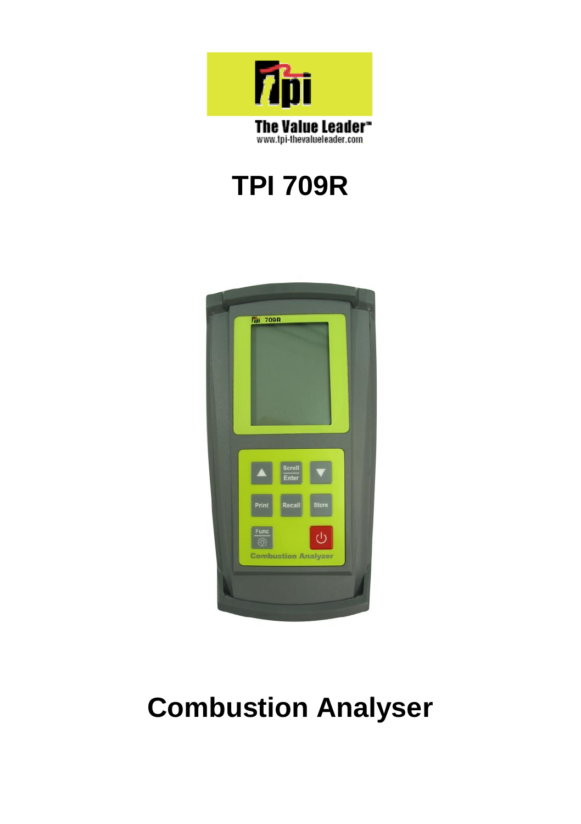

# **TPI 709R**



# **Combustion Analyser**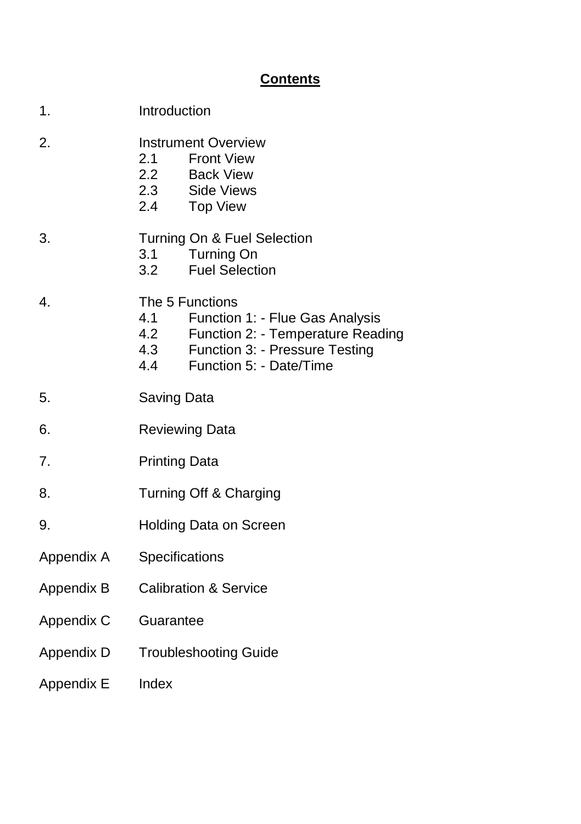#### **Contents**

| 1.         | Introduction                                                                                                                                                               |  |
|------------|----------------------------------------------------------------------------------------------------------------------------------------------------------------------------|--|
| 2.         | <b>Instrument Overview</b><br>2.1 Front View<br>2.2 Back View<br>2.3 Side Views<br>2.4 Top View                                                                            |  |
| 3.         | Turning On & Fuel Selection<br>3.1<br><b>Turning On</b><br><b>Fuel Selection</b><br>3.2                                                                                    |  |
| 4.         | The 5 Functions<br>4.1<br>Function 1: - Flue Gas Analysis<br>4.2<br>Function 2: - Temperature Reading<br>4.3 Function 3: - Pressure Testing<br>4.4 Function 5: - Date/Time |  |
| 5.         | Saving Data                                                                                                                                                                |  |
| 6.         | <b>Reviewing Data</b>                                                                                                                                                      |  |
| 7.         | <b>Printing Data</b>                                                                                                                                                       |  |
| 8.         | Turning Off & Charging                                                                                                                                                     |  |
| 9.         | Holding Data on Screen                                                                                                                                                     |  |
| Appendix A | Specifications                                                                                                                                                             |  |
| Appendix B | <b>Calibration &amp; Service</b>                                                                                                                                           |  |
| Appendix C | Guarantee                                                                                                                                                                  |  |
| Appendix D | <b>Troubleshooting Guide</b>                                                                                                                                               |  |
| Appendix E | Index                                                                                                                                                                      |  |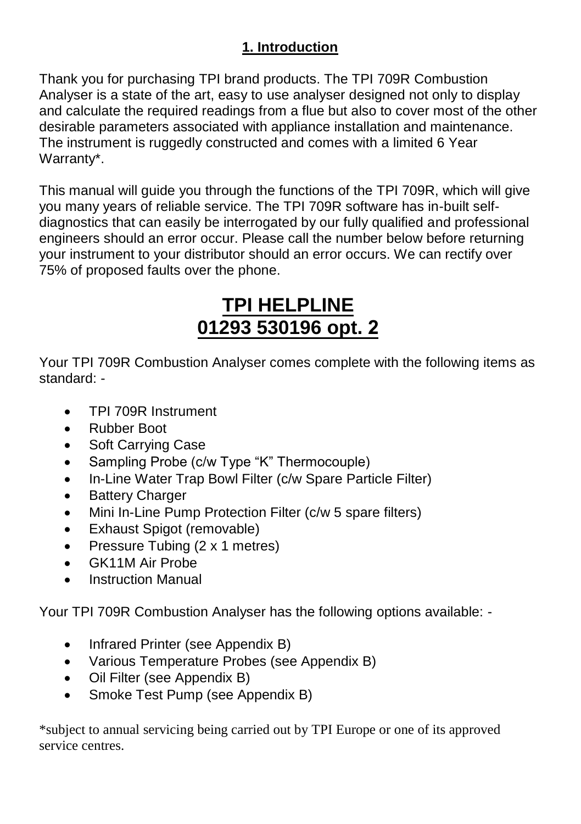#### **1. Introduction**

Thank you for purchasing TPI brand products. The TPI 709R Combustion Analyser is a state of the art, easy to use analyser designed not only to display and calculate the required readings from a flue but also to cover most of the other desirable parameters associated with appliance installation and maintenance. The instrument is ruggedly constructed and comes with a limited 6 Year Warranty\*.

This manual will guide you through the functions of the TPI 709R, which will give you many years of reliable service. The TPI 709R software has in-built selfdiagnostics that can easily be interrogated by our fully qualified and professional engineers should an error occur. Please call the number below before returning your instrument to your distributor should an error occurs. We can rectify over 75% of proposed faults over the phone.

## **TPI HELPLINE 01293 530196 opt. 2**

Your TPI 709R Combustion Analyser comes complete with the following items as standard: -

- TPI 709R Instrument
- Rubber Boot
- Soft Carrying Case
- Sampling Probe (c/w Type "K" Thermocouple)
- In-Line Water Trap Bowl Filter (c/w Spare Particle Filter)
- Battery Charger
- Mini In-Line Pump Protection Filter (c/w 5 spare filters)
- Exhaust Spigot (removable)
- Pressure Tubing (2 x 1 metres)
- GK11M Air Probe
- Instruction Manual

Your TPI 709R Combustion Analyser has the following options available: -

- Infrared Printer (see Appendix B)
- Various Temperature Probes (see Appendix B)
- Oil Filter (see Appendix B)
- Smoke Test Pump (see Appendix B)

\*subject to annual servicing being carried out by TPI Europe or one of its approved service centres.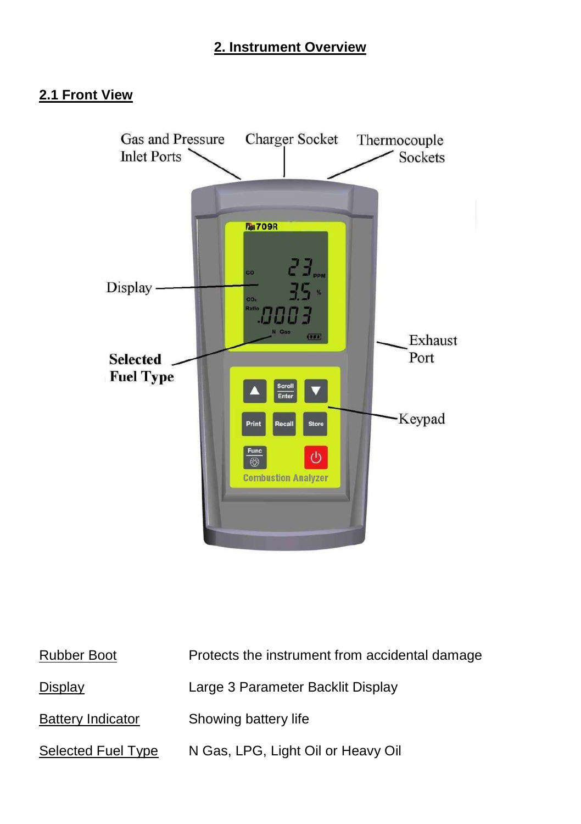#### **2. Instrument Overview**

#### 2.1 Front View



| Rubber Boot              | Protects the instrument from accidental damage |
|--------------------------|------------------------------------------------|
| Display                  | Large 3 Parameter Backlit Display              |
| <b>Battery Indicator</b> | Showing battery life                           |
| Selected Fuel Type       | N Gas, LPG, Light Oil or Heavy Oil             |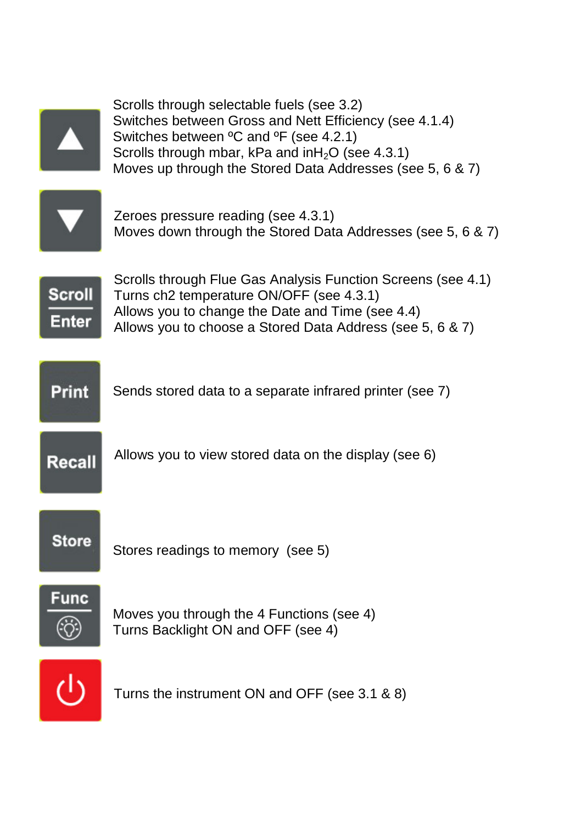



Turns the instrument ON and OFF (see 3.1 & 8)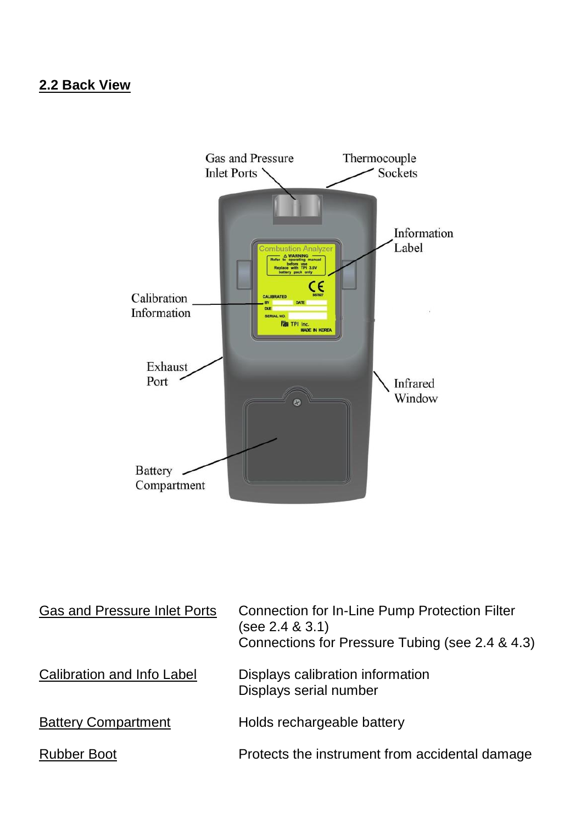#### **2.2 Back View**



| Gas and Pressure Inlet Ports | Connection for In-Line Pump Protection Filter<br>(see 2.4 & 3.1)<br>Connections for Pressure Tubing (see 2.4 & 4.3) |
|------------------------------|---------------------------------------------------------------------------------------------------------------------|
| Calibration and Info Label   | Displays calibration information<br>Displays serial number                                                          |
| <b>Battery Compartment</b>   | Holds rechargeable battery                                                                                          |
| Rubber Boot                  | Protects the instrument from accidental damage                                                                      |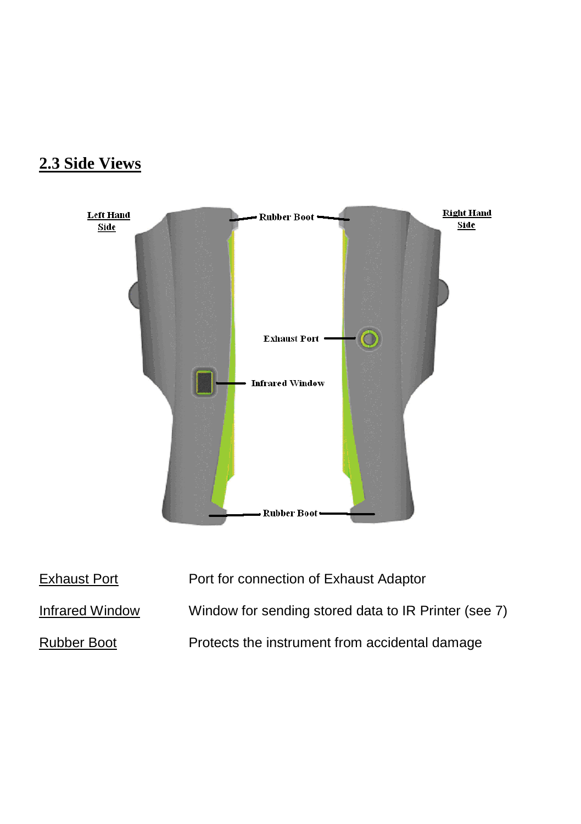### **2.3 Side Views**



| Exhaust Port    | Port for connection of Exhaust Adaptor               |
|-----------------|------------------------------------------------------|
| Infrared Window | Window for sending stored data to IR Printer (see 7) |
| Rubber Boot     | Protects the instrument from accidental damage       |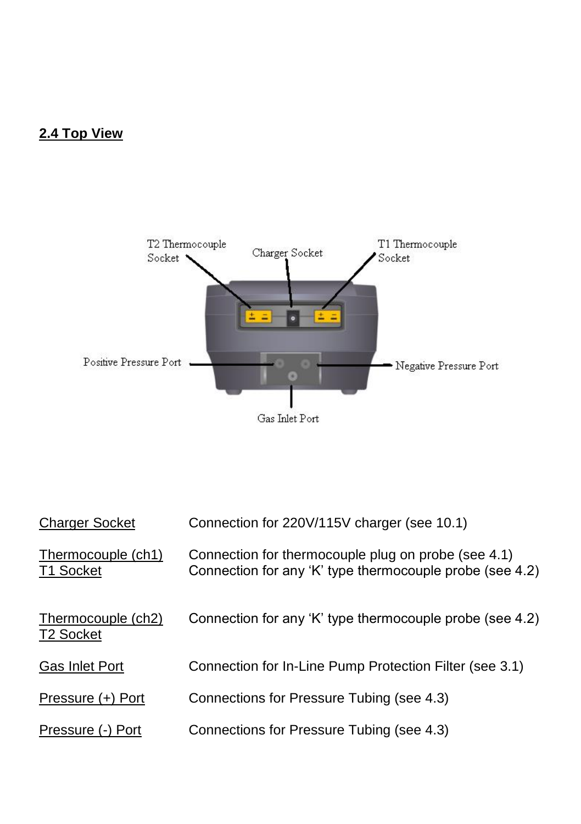#### **2.4 Top View**



| <b>Charger Socket</b>                       | Connection for 220V/115V charger (see 10.1)                                                                     |
|---------------------------------------------|-----------------------------------------------------------------------------------------------------------------|
| Thermocouple (ch1)<br>T1 Socket             | Connection for thermocouple plug on probe (see 4.1)<br>Connection for any 'K' type thermocouple probe (see 4.2) |
| Thermocouple (ch2)<br>T <sub>2</sub> Socket | Connection for any 'K' type thermocouple probe (see 4.2)                                                        |
| <b>Gas Inlet Port</b>                       | Connection for In-Line Pump Protection Filter (see 3.1)                                                         |
| Pressure (+) Port                           | Connections for Pressure Tubing (see 4.3)                                                                       |
| Pressure (-) Port                           | Connections for Pressure Tubing (see 4.3)                                                                       |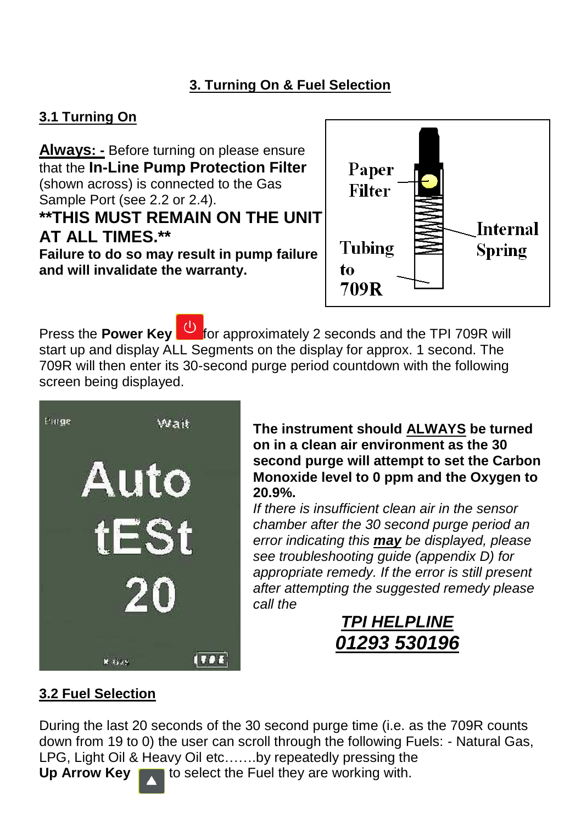#### **3. Turning On & Fuel Selection**

#### **3.1 Turning On**

**Always: -** Before turning on please ensure that the **In-Line Pump Protection Filter** (shown across) is connected to the Gas Sample Port (see 2.2 or 2.4). **\*\*THIS MUST REMAIN ON THE UNIT AT ALL TIMES.\*\* Failure to do so may result in pump failure and will invalidate the warranty.** 



Press the **Power Key** for approximately 2 seconds and the TPI 709R will start up and display ALL Segments on the display for approx. 1 second. The 709R will then enter its 30-second purge period countdown with the following screen being displayed.



**The instrument should ALWAYS be turned on in a clean air environment as the 30 second purge will attempt to set the Carbon Monoxide level to 0 ppm and the Oxygen to 20.9%.** 

*If there is insufficient clean air in the sensor chamber after the 30 second purge period an error indicating this may be displayed, please see troubleshooting guide (appendix D) for appropriate remedy. If the error is still present after attempting the suggested remedy please call the* 

### *TPI HELPLINE 01293 530196*

#### **3.2 Fuel Selection**

During the last 20 seconds of the 30 second purge time (i.e. as the 709R counts down from 19 to 0) the user can scroll through the following Fuels: - Natural Gas, LPG, Light Oil & Heavy Oil etc…….by repeatedly pressing the **Up Arrow Key** to select the Fuel they are working with.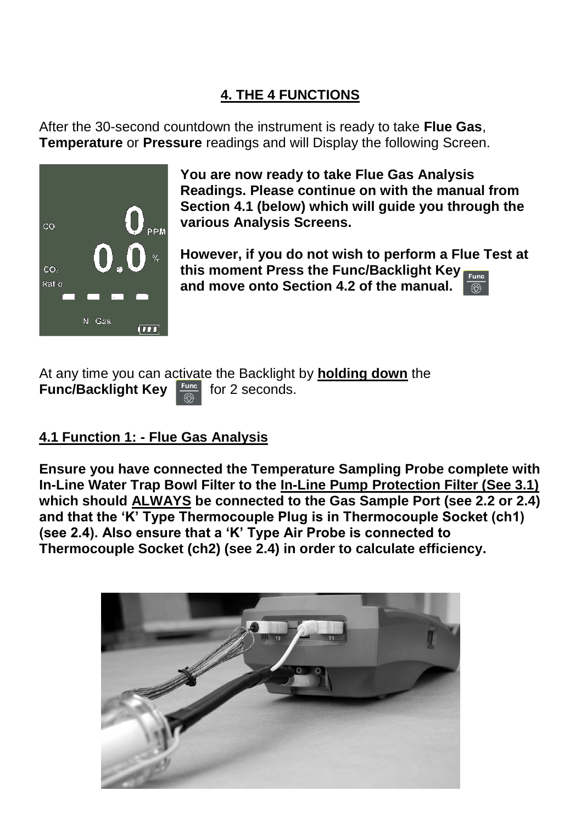#### **4. THE 4 FUNCTIONS**

After the 30-second countdown the instrument is ready to take **Flue Gas**, **Temperature** or **Pressure** readings and will Display the following Screen.



**You are now ready to take Flue Gas Analysis Readings. Please continue on with the manual from Section 4.1 (below) which will guide you through the various Analysis Screens.** 

**However, if you do not wish to perform a Flue Test at this moment Press the Func/Backlight Key and move onto Section 4.2 of the manual.** 

At any time you can activate the Backlight by **holding down** the **Func/Backlight Key Funce** for 2 seconds.

#### **4.1 Function 1: - Flue Gas Analysis**

**Ensure you have connected the Temperature Sampling Probe complete with In-Line Water Trap Bowl Filter to the In-Line Pump Protection Filter (See 3.1) which should ALWAYS be connected to the Gas Sample Port (see 2.2 or 2.4) and that the 'K' Type Thermocouple Plug is in Thermocouple Socket (ch1) (see 2.4). Also ensure that a 'K' Type Air Probe is connected to Thermocouple Socket (ch2) (see 2.4) in order to calculate efficiency.** 

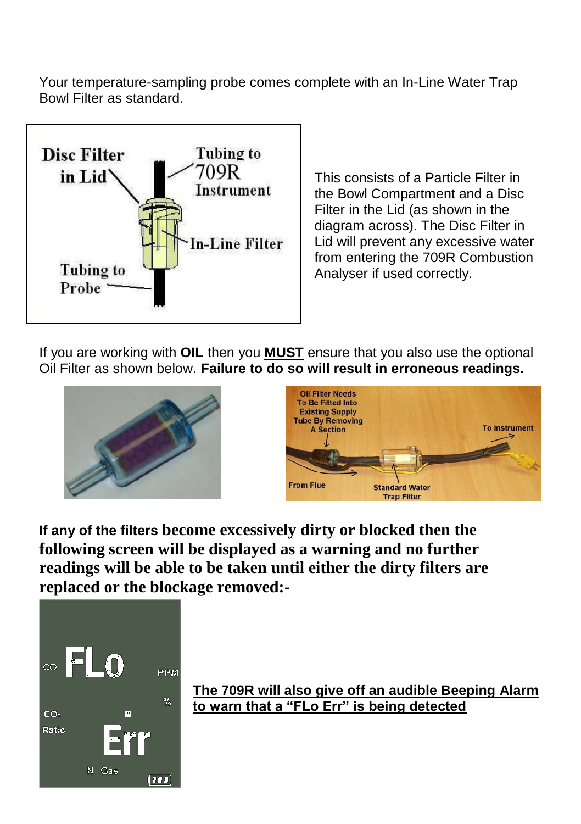Your temperature-sampling probe comes complete with an In-Line Water Trap Bowl Filter as standard.



This consists of a Particle Filter in the Bowl Compartment and a Disc Filter in the Lid (as shown in the diagram across). The Disc Filter in Lid will prevent any excessive water from entering the 709R Combustion Analyser if used correctly.

If you are working with **OIL** then you **MUST** ensure that you also use the optional Oil Filter as shown below. **Failure to do so will result in erroneous readings.** 





**If any of the filters become excessively dirty or blocked then the following screen will be displayed as a warning and no further readings will be able to be taken until either the dirty filters are replaced or the blockage removed:-**



**The 709R will also give off an audible Beeping Alarm to warn that a "FLo Err" is being detected**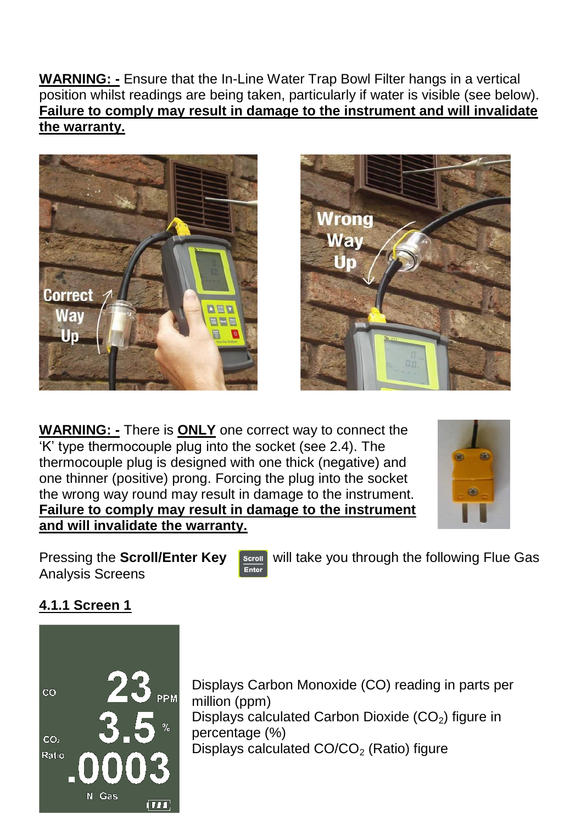**WARNING: -** Ensure that the In-Line Water Trap Bowl Filter hangs in a vertical position whilst readings are being taken, particularly if water is visible (see below). **Failure to comply may result in damage to the instrument and will invalidate the warranty.**





**WARNING: -** There is **ONLY** one correct way to connect the 'K' type thermocouple plug into the socket (see 2.4). The thermocouple plug is designed with one thick (negative) and one thinner (positive) prong. Forcing the plug into the socket the wrong way round may result in damage to the instrument. **Failure to comply may result in damage to the instrument and will invalidate the warranty.**



Analysis Screens

Pressing the **Scroll/Enter Key Scroll** will take you through the following Flue Gas Analysis Screens

#### **4.1.1 Screen 1**



Displays Carbon Monoxide (CO) reading in parts per million (ppm) Displays calculated Carbon Dioxide  $(CO<sub>2</sub>)$  figure in percentage (%) Displays calculated  $CO/CO<sub>2</sub>$  (Ratio) figure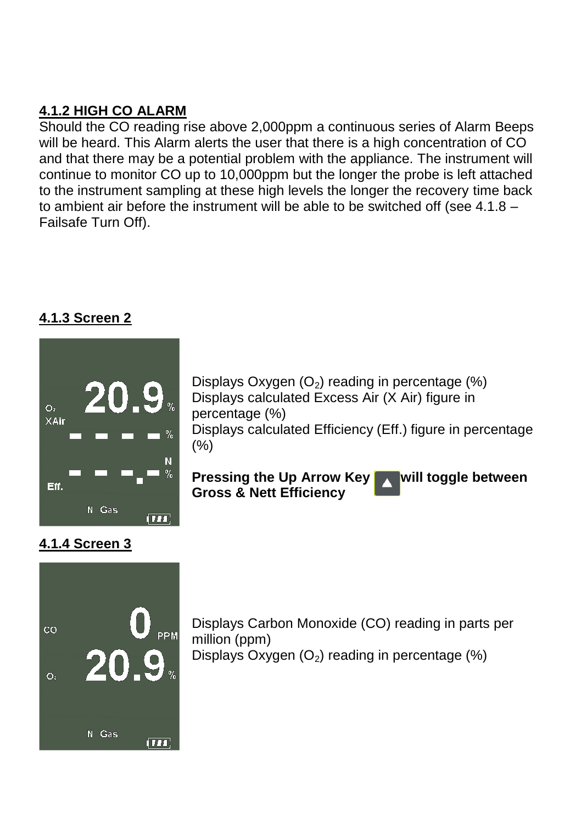#### **4.1.2 HIGH CO ALARM**

Should the CO reading rise above 2,000ppm a continuous series of Alarm Beeps will be heard. This Alarm alerts the user that there is a high concentration of CO and that there may be a potential problem with the appliance. The instrument will continue to monitor CO up to 10,000ppm but the longer the probe is left attached to the instrument sampling at these high levels the longer the recovery time back to ambient air before the instrument will be able to be switched off (see 4.1.8 – Failsafe Turn Off).

#### **4.1.3 Screen 2**

**4.1.4 Screen 3** 



Displays Oxygen  $(O_2)$  reading in percentage  $(\%)$ Displays calculated Excess Air (X Air) figure in percentage (%) Displays calculated Efficiency (Eff.) figure in percentage (%)

**Pressing the Up Arrow Key Will toggle between Gross & Nett Efficiency**



Displays Carbon Monoxide (CO) reading in parts per million (ppm) Displays Oxygen  $(O_2)$  reading in percentage  $(\%)$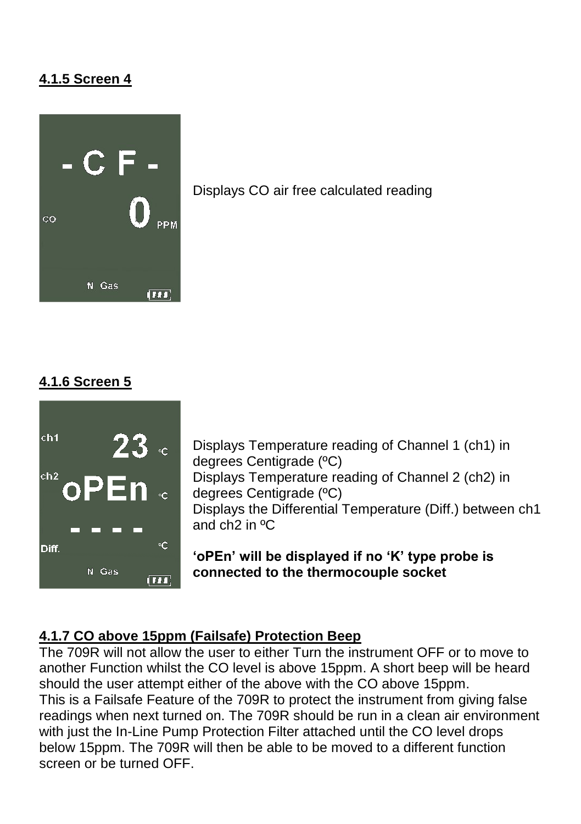#### **4.1.5 Screen 4**



Displays CO air free calculated reading

#### **4.1.6 Screen 5**



Displays Temperature reading of Channel 1 (ch1) in degrees Centigrade (ºC) Displays Temperature reading of Channel 2 (ch2) in degrees Centigrade (ºC) Displays the Differential Temperature (Diff.) between ch1 and ch2 in ºC

**'oPEn' will be displayed if no 'K' type probe is connected to the thermocouple socket** 

#### **4.1.7 CO above 15ppm (Failsafe) Protection Beep**

The 709R will not allow the user to either Turn the instrument OFF or to move to another Function whilst the CO level is above 15ppm. A short beep will be heard should the user attempt either of the above with the CO above 15ppm. This is a Failsafe Feature of the 709R to protect the instrument from giving false readings when next turned on. The 709R should be run in a clean air environment with just the In-Line Pump Protection Filter attached until the CO level drops below 15ppm. The 709R will then be able to be moved to a different function screen or be turned OFF.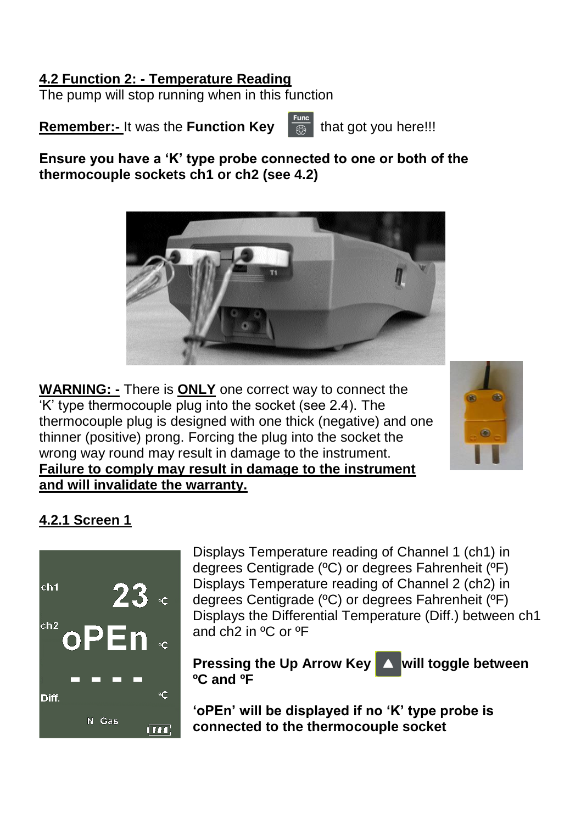#### **4.2 Function 2: - Temperature Reading**

The pump will stop running when in this function

**Remember:-** It was the **Function Key**  $\frac{Func}{\circledR}$  that got you here!!!

**Ensure you have a 'K' type probe connected to one or both of the thermocouple sockets ch1 or ch2 (see 4.2)**



**WARNING: -** There is **ONLY** one correct way to connect the 'K' type thermocouple plug into the socket (see 2.4). The thermocouple plug is designed with one thick (negative) and one thinner (positive) prong. Forcing the plug into the socket the wrong way round may result in damage to the instrument. **Failure to comply may result in damage to the instrument and will invalidate the warranty.**



#### **4.2.1 Screen 1**



Displays Temperature reading of Channel 1 (ch1) in degrees Centigrade (ºC) or degrees Fahrenheit (ºF) Displays Temperature reading of Channel 2 (ch2) in degrees Centigrade (ºC) or degrees Fahrenheit (ºF) Displays the Differential Temperature (Diff.) between ch1 and ch2 in ºC or ºF

**Pressing the Up Arrow Key A will toggle between ºC and ºF**

**'oPEn' will be displayed if no 'K' type probe is connected to the thermocouple socket**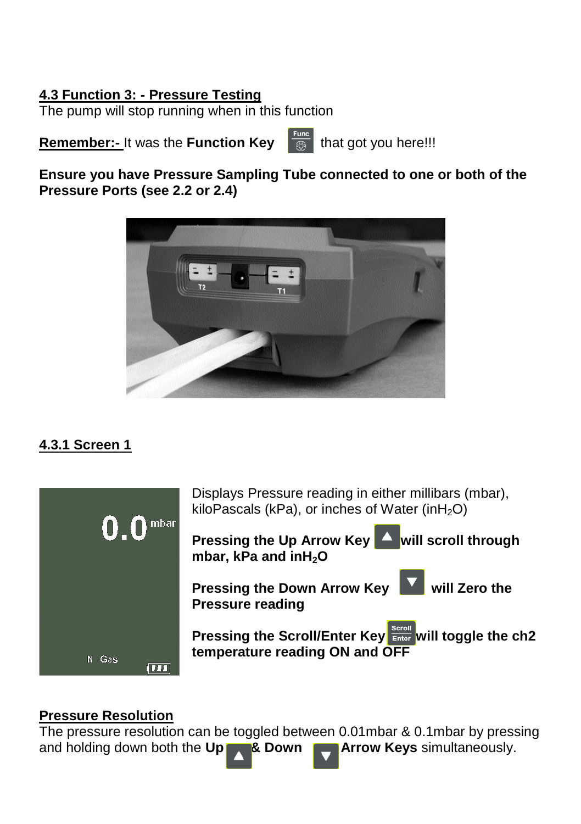#### **4.3 Function 3: - Pressure Testing**

The pump will stop running when in this function

**Remember:-** It was the **Function Key**  $\frac{r_{\text{max}}}{\sqrt{m}}$  that got you here!!!

**Ensure you have Pressure Sampling Tube connected to one or both of the Pressure Ports (see 2.2 or 2.4)** 



#### **4.3.1 Screen 1**



#### **Pressure Resolution**

The pressure resolution can be toggled between 0.01mbar & 0.1mbar by pressing and holding down both the Up  $\bullet$  & Down  $\bullet$  Arrow Keys simultaneously. and holding down both the **Up & Down**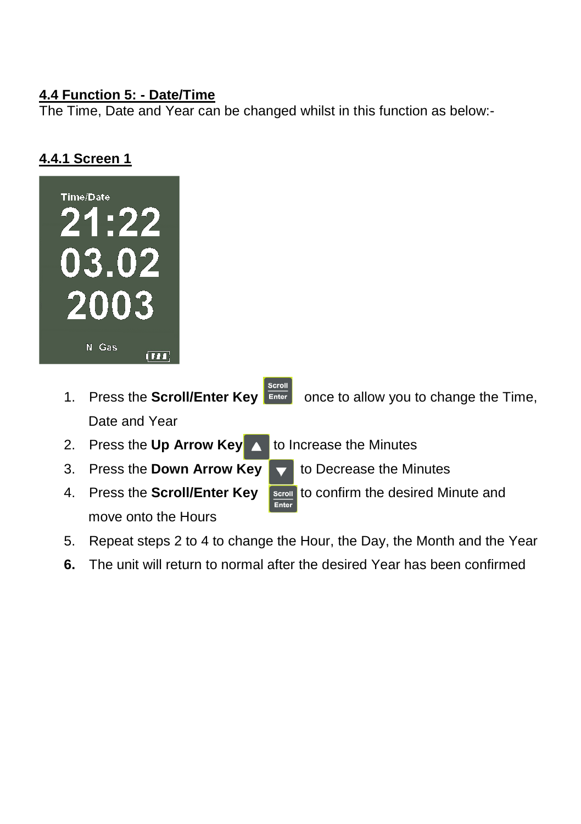#### **4.4 Function 5: - Date/Time**

The Time, Date and Year can be changed whilst in this function as below:-

#### **4.4.1 Screen 1**



- 1. Press the **Scroll/Enter Key Enter once to allow you to change the Time,** Date and Year
- 2. Press the **Up Arrow Key** to Increase the Minutes
- 3. Press the **Down Arrow Key** to Decrease the Minutes
- 4. Press the **Scroll/Enter Key Excoll** to confirm the desired Minute and move onto the Hours

- 
- 5. Repeat steps 2 to 4 to change the Hour, the Day, the Month and the Year
- **6.** The unit will return to normal after the desired Year has been confirmed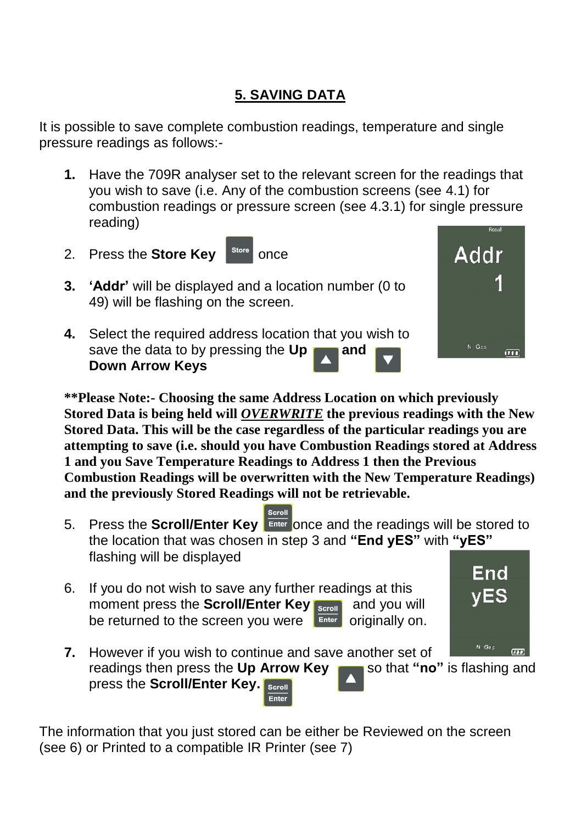### **5. SAVING DATA**

It is possible to save complete combustion readings, temperature and single pressure readings as follows:-

- **1.** Have the 709R analyser set to the relevant screen for the readings that you wish to save (i.e. Any of the combustion screens (see 4.1) for combustion readings or pressure screen (see 4.3.1) for single pressure reading)
- 2. Press the **Store Key** store once
- **3. 'Addr'** will be displayed and a location number (0 to 49) will be flashing on the screen.
- **4.** Select the required address location that you wish to save the data to by pressing the Up **and Down Arrow Keys**

**\*\*Please Note:- Choosing the same Address Location on which previously Stored Data is being held will** *OVERWRITE* **the previous readings with the New Stored Data. This will be the case regardless of the particular readings you are attempting to save (i.e. should you have Combustion Readings stored at Address 1 and you Save Temperature Readings to Address 1 then the Previous Combustion Readings will be overwritten with the New Temperature Readings) and the previously Stored Readings will not be retrievable.** 

- 5. Press the **Scroll/Enter Key Enter once and the readings will be stored to** the location that was chosen in step 3 and **"End yES"** with **"yES"**  flashing will be displayed
- 6. If you do not wish to save any further readings at this moment press the **Scroll/Enter Key <b>Repoll** and you will be returned to the screen you were  $\left| \begin{array}{cc} \end{array} \right|$  originally on.



The information that you just stored can be either be Reviewed on the screen (see 6) or Printed to a compatible IR Printer (see 7)



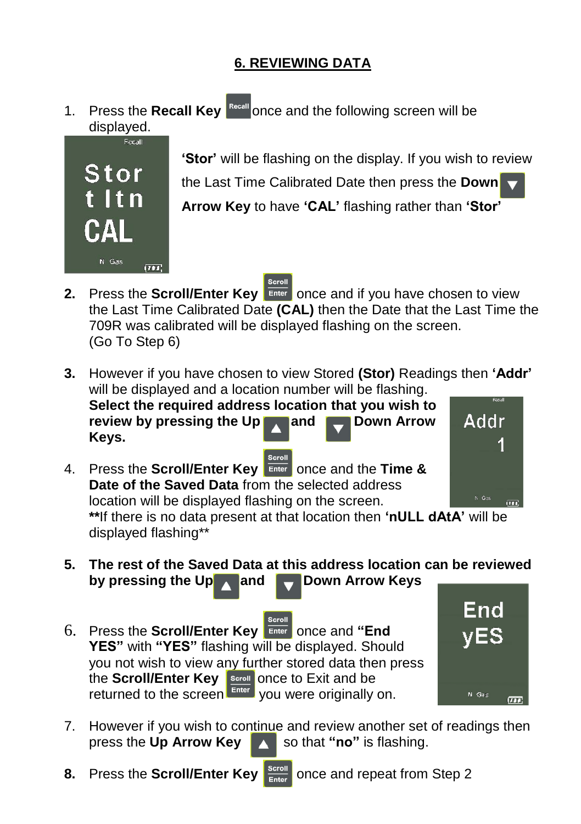#### **6. REVIEWING DATA**

1. Press the **Recall Key** <sup>Recall</sup> once and the following screen will be displayed.



**'Stor'** will be flashing on the display. If you wish to review the Last Time Calibrated Date then press the **Down Arrow Key** to have **'CAL'** flashing rather than **'Stor'** 

- **2.** Press the **Scroll/Enter Key Enter** once and if you have chosen to view the Last Time Calibrated Date **(CAL)** then the Date that the Last Time the 709R was calibrated will be displayed flashing on the screen. (Go To Step 6)
- **3.** However if you have chosen to view Stored **(Stor)** Readings then **'Addr'** will be displayed and a location number will be flashing. **Select the required address location that you wish to Addr review by pressing the Up and Arrow Arrow Keys.**
- 4. Press the **Scroll/Enter Key** once and the **Time & Date of the Saved Data** from the selected address location will be displayed flashing on the screen. **\*\***If there is no data present at that location then **'nULL dAtA'** will be displayed flashing\*\*



- **5. The rest of the Saved Data at this address location can be reviewed** by pressing the Up and **Down Arrow Keys**
- icroll 6. Press the **Scroll/Enter Key** Enter once and "End **YES"** with **"YES"** flashing will be displayed. Should you not wish to view any further stored data then press the **Scroll/Enter Key Scroll** once to Exit and be returned to the screen **Enterly you were originally on.**



- 7. However if you wish to continue and review another set of readings then press the Up Arrow Key **Allect 10** so that "no" is flashing.
- **8.** Press the **Scroll/Enter Key SECOLE Enter** once and repeat from Step 2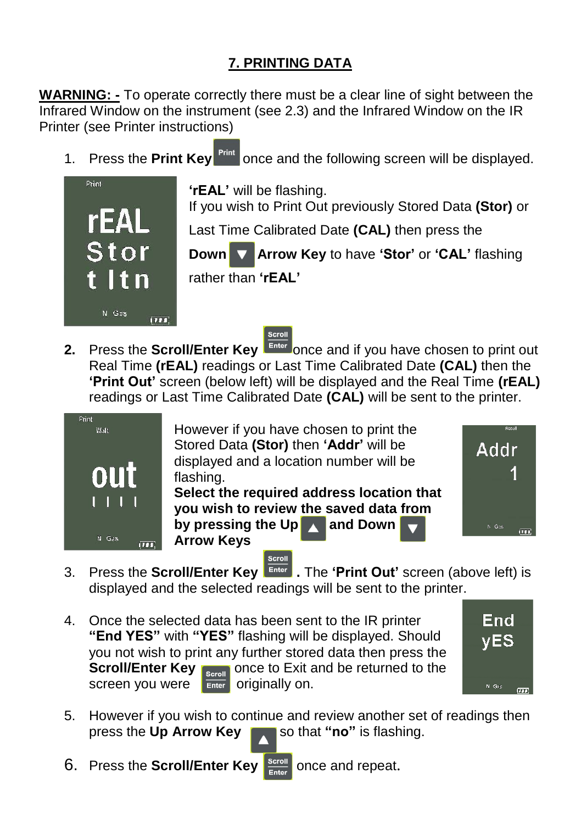### **7. PRINTING DATA**

**WARNING: -** To operate correctly there must be a clear line of sight between the Infrared Window on the instrument (see 2.3) and the Infrared Window on the IR Printer (see Printer instructions)

1 Press the **Print Kev Print** once and the following screen will be displayed.



**'rEAL'** will be flashing. If you wish to Print Out previously Stored Data **(Stor)** or

Last Time Calibrated Date **(CAL)** then press the

**Down Arrow Key to have 'Stor' or 'CAL' flashing** 

rather than **'rEAL'**



**2.** Press the **Scroll/Enter Key Enter** once and if you have chosen to print out Real Time **(rEAL)** readings or Last Time Calibrated Date **(CAL)** then the **'Print Out'** screen (below left) will be displayed and the Real Time **(rEAL)** readings or Last Time Calibrated Date **(CAL)** will be sent to the printer.



However if you have chosen to print the Stored Data **(Stor)** then **'Addr'** will be displayed and a location number will be flashing.

**Select the required address location that you wish to review the saved data from by pressing the Up and Down Arrow Keys** 



- Scroll 3. Press the **Scroll/Enter Key .** The **'Print Out'** screen (above left) is displayed and the selected readings will be sent to the printer.
- 4. Once the selected data has been sent to the IR printer **"End YES"** with **"YES"** flashing will be displayed. Should you not wish to print any further stored data then press the **Scroll/Enter Key Scroll** Once to Exit and be returned to the screen you were  $\overline{em}$  originally on.



- 5. However if you wish to continue and review another set of readings then press the **Up Arrow Key** so that **"no"** is flashing.
- 6. Press the **Scroll/Enter Key Scroll** once and repeat.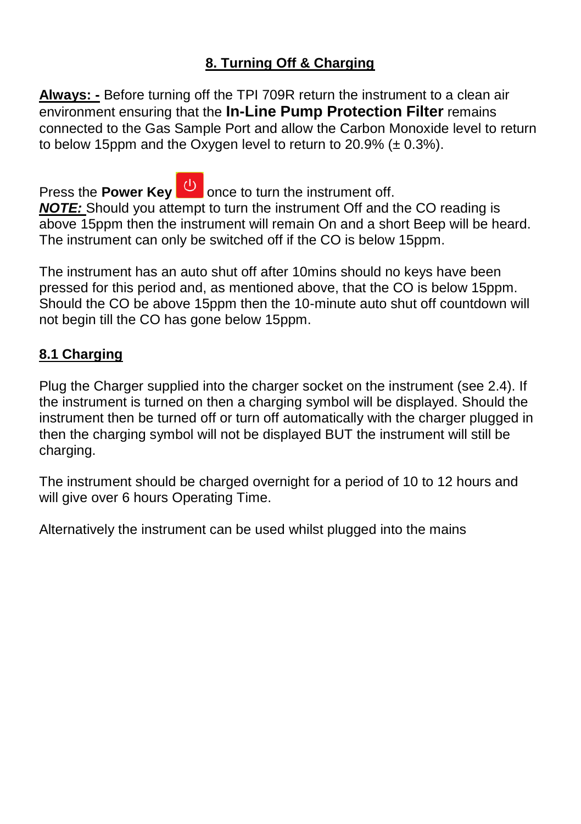#### **8. Turning Off & Charging**

**Always: -** Before turning off the TPI 709R return the instrument to a clean air environment ensuring that the **In-Line Pump Protection Filter** remains connected to the Gas Sample Port and allow the Carbon Monoxide level to return to below 15ppm and the Oxygen level to return to  $20.9\%$  ( $\pm 0.3\%$ ).

Press the **Power Key b** once to turn the instrument off. *NOTE:* Should you attempt to turn the instrument Off and the CO reading is above 15ppm then the instrument will remain On and a short Beep will be heard. The instrument can only be switched off if the CO is below 15ppm.

The instrument has an auto shut off after 10mins should no keys have been pressed for this period and, as mentioned above, that the CO is below 15ppm. Should the CO be above 15ppm then the 10-minute auto shut off countdown will not begin till the CO has gone below 15ppm.

#### **8.1 Charging**

Plug the Charger supplied into the charger socket on the instrument (see 2.4). If the instrument is turned on then a charging symbol will be displayed. Should the instrument then be turned off or turn off automatically with the charger plugged in then the charging symbol will not be displayed BUT the instrument will still be charging.

The instrument should be charged overnight for a period of 10 to 12 hours and will give over 6 hours Operating Time.

Alternatively the instrument can be used whilst plugged into the mains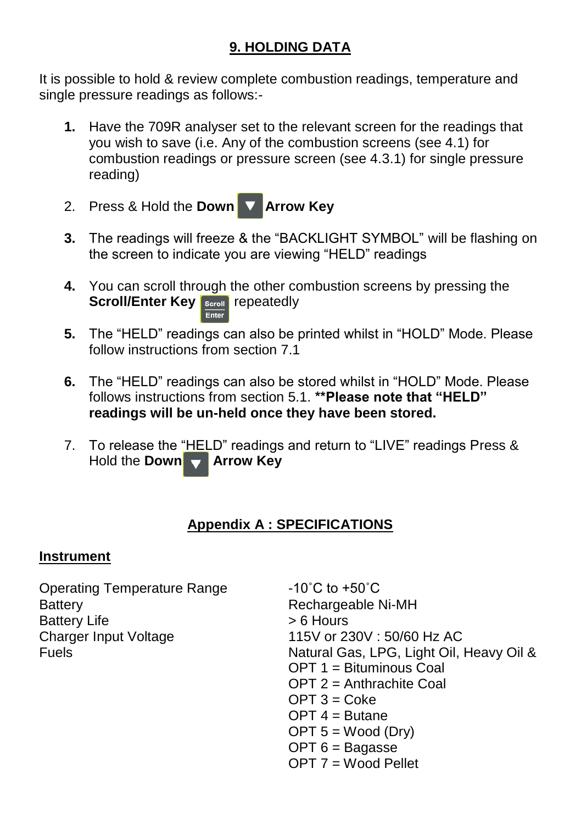#### **9. HOLDING DATA**

It is possible to hold & review complete combustion readings, temperature and single pressure readings as follows:-

- **1.** Have the 709R analyser set to the relevant screen for the readings that you wish to save (i.e. Any of the combustion screens (see 4.1) for combustion readings or pressure screen (see 4.3.1) for single pressure reading)
- 2. Press & Hold the **Down Arrow Key**
- **3.** The readings will freeze & the "BACKLIGHT SYMBOL" will be flashing on the screen to indicate you are viewing "HELD" readings
- **4.** You can scroll through the other combustion screens by pressing the **Scroll/Enter Key Scroll** repeatedly
- **5.** The "HELD" readings can also be printed whilst in "HOLD" Mode. Please follow instructions from section 7.1
- **6.** The "HELD" readings can also be stored whilst in "HOLD" Mode. Please follows instructions from section 5.1. **\*\*Please note that "HELD" readings will be un-held once they have been stored.**
- 7. To release the "HELD" readings and return to "LIVE" readings Press & Hold the **Down Arrow Key**

#### **Appendix A : SPECIFICATIONS**

#### **Instrument**

Operating Temperature Range -10°C to +50°C Battery Battery Rechargeable Ni-MH Battery Life  $\rightarrow$  6 Hours<br>Charger Input Voltage  $\rightarrow$  115V or 23

115V or 230V : 50/60 Hz AC Fuels Natural Gas, LPG, Light Oil, Heavy Oil &  $OPT 1 = Bituminous$  Coal  $OPT 2 =$  Anthrachite Coal  $OPT 3 = C_0$ ke  $OPT 4 = Butane$  $OPT 5 = Wood (Div)$  $OPT 6 = Baaasse$  $OPT 7 =$  Wood Pellet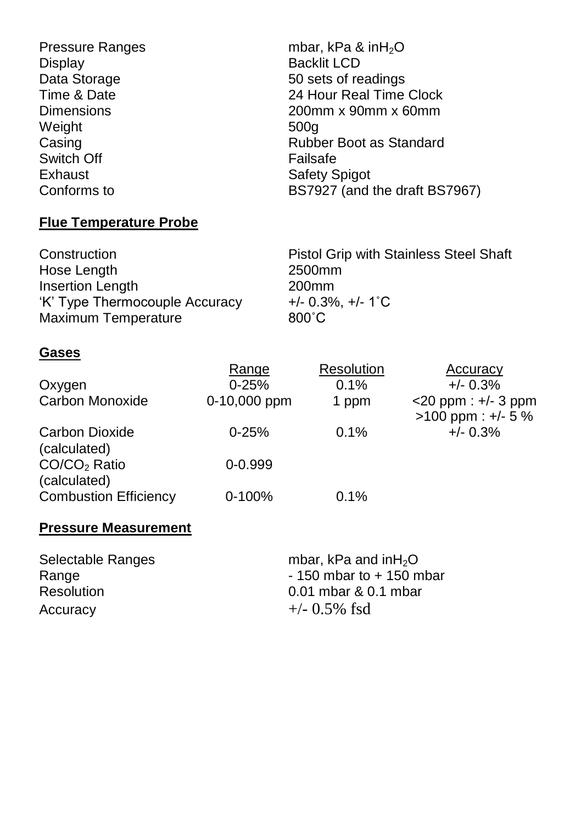Pressure Ranges mbar, kPa & inH<sub>2</sub>O<br>Display mbar, kPa & inH<sub>2</sub>O Backlit LCD Data Storage 50 sets of readings<br>
Time & Date 50 sets of readings<br>
24 Hour Real Time 24 Hour Real Time Clock Dimensions 200mm x 90mm x 60mm Weight 500g Casing Casing Casing Casing Casing Casing Case Case Rubber Boot as Standard Switch Off Failsafe Exhaust **Safety Spigot**<br>Conforms to **Safety Spigot** BS7927 (and t BS7927 (and the draft BS7967)

#### **Flue Temperature Probe**

Hose Length 2500mm Insertion Length 200mm<br>
'K' Type Thermocouple Accuracy +/- 0.3%, +/- 1°C 'K' Type Thermocouple Accuracy Maximum Temperature **800°C** 

Construction **Pistol Grip with Stainless Steel Shaft** 

#### **Gases**

|                              | Range          | Resolution | Accuracy                 |
|------------------------------|----------------|------------|--------------------------|
| Oxygen                       | $0 - 25%$      | 0.1%       | $+/- 0.3%$               |
| Carbon Monoxide              | $0-10,000$ ppm | 1 ppm      | $<$ 20 ppm : $+/-$ 3 ppm |
|                              |                |            | $>100$ ppm : +/- 5 %     |
| Carbon Dioxide               | $0 - 25%$      | 0.1%       | $+/- 0.3%$               |
| (calculated)                 |                |            |                          |
| CO/CO <sub>2</sub> Ratio     | $0 - 0.999$    |            |                          |
| (calculated)                 |                |            |                          |
| <b>Combustion Efficiency</b> | $0 - 100%$     | 0.1%       |                          |

#### **Pressure Measurement**

Selectable Ranges<br>
Range mbar, kPa and inH<sub>2</sub>O<br>
- 150 mbar to + 150 m Resolution 0.01 mbar & 0.1 mbar Accuracy  $+/- 0.5\%$  fsd

 $-150$  mbar to  $+150$  mbar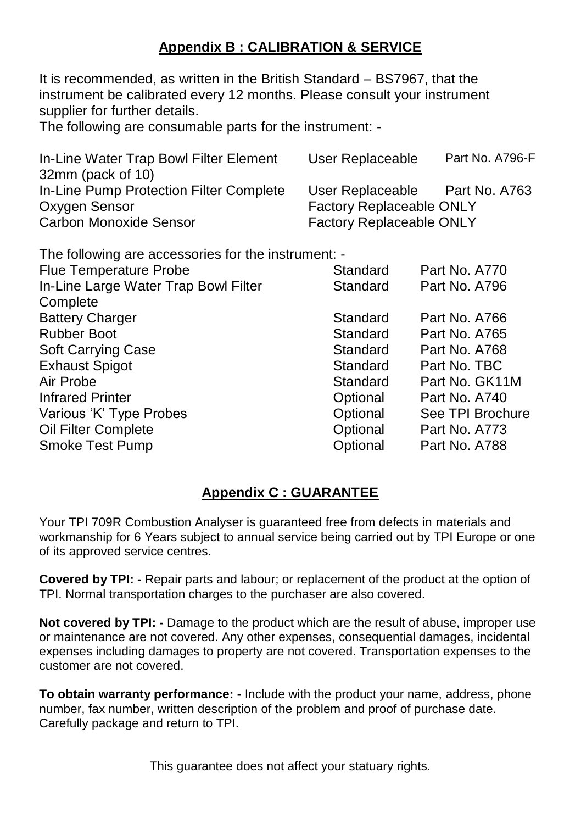#### **Appendix B : CALIBRATION & SERVICE**

It is recommended, as written in the British Standard – BS7967, that the instrument be calibrated every 12 months. Please consult your instrument supplier for further details.

The following are consumable parts for the instrument: -

| In-Line Water Trap Bowl Filter Element  | User Replaceable                | Part No. A796-F |
|-----------------------------------------|---------------------------------|-----------------|
| 32mm (pack of 10)                       |                                 |                 |
| In-Line Pump Protection Filter Complete | User Replaceable                | Part No. A763   |
| Oxygen Sensor                           | <b>Factory Replaceable ONLY</b> |                 |
| Carbon Monoxide Sensor                  | <b>Factory Replaceable ONLY</b> |                 |

| Standard | Part No. A770                                       |
|----------|-----------------------------------------------------|
| Standard | Part No. A796                                       |
|          |                                                     |
| Standard | Part No. A766                                       |
| Standard | Part No. A765                                       |
| Standard | Part No. A768                                       |
| Standard | Part No. TBC                                        |
| Standard | Part No. GK11M                                      |
| Optional | Part No. A740                                       |
| Optional | See TPI Brochure                                    |
| Optional | Part No. A773                                       |
| Optional | Part No. A788                                       |
|          | The following are accessories for the instrument: - |

#### **Appendix C : GUARANTEE**

Your TPI 709R Combustion Analyser is guaranteed free from defects in materials and workmanship for 6 Years subject to annual service being carried out by TPI Europe or one of its approved service centres.

**Covered by TPI: -** Repair parts and labour; or replacement of the product at the option of TPI. Normal transportation charges to the purchaser are also covered.

**Not covered by TPI: -** Damage to the product which are the result of abuse, improper use or maintenance are not covered. Any other expenses, consequential damages, incidental expenses including damages to property are not covered. Transportation expenses to the customer are not covered.

**To obtain warranty performance: -** Include with the product your name, address, phone number, fax number, written description of the problem and proof of purchase date. Carefully package and return to TPI.

This quarantee does not affect your statuary rights.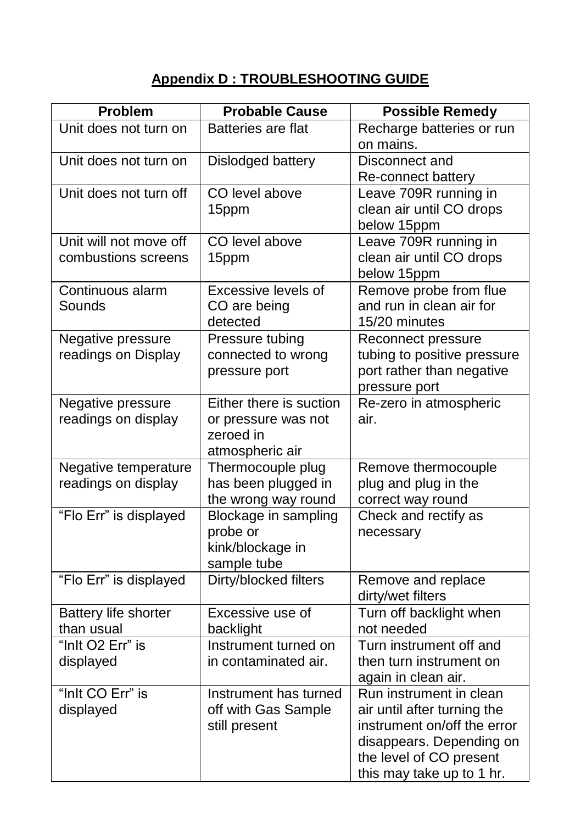### **Appendix D : TROUBLESHOOTING GUIDE**

| Problem                                       | <b>Probable Cause</b>                                                          | <b>Possible Remedy</b>                                                                                                                                                    |
|-----------------------------------------------|--------------------------------------------------------------------------------|---------------------------------------------------------------------------------------------------------------------------------------------------------------------------|
| Unit does not turn on                         | Batteries are flat                                                             | Recharge batteries or run<br>on mains.                                                                                                                                    |
| Unit does not turn on                         | Dislodged battery                                                              | Disconnect and<br>Re-connect battery                                                                                                                                      |
| Unit does not turn off                        | CO level above<br>15ppm                                                        | Leave 709R running in<br>clean air until CO drops<br>below 15ppm                                                                                                          |
| Unit will not move off<br>combustions screens | CO level above<br>15ppm                                                        | Leave 709R running in<br>clean air until CO drops<br>below 15ppm                                                                                                          |
| Continuous alarm<br>Sounds                    | Excessive levels of<br>CO are being<br>detected                                | Remove probe from flue<br>and run in clean air for<br>15/20 minutes                                                                                                       |
| Negative pressure<br>readings on Display      | Pressure tubing<br>connected to wrong<br>pressure port                         | Reconnect pressure<br>tubing to positive pressure<br>port rather than negative<br>pressure port                                                                           |
| Negative pressure<br>readings on display      | Either there is suction<br>or pressure was not<br>zeroed in<br>atmospheric air | Re-zero in atmospheric<br>air.                                                                                                                                            |
| Negative temperature<br>readings on display   | Thermocouple plug<br>has been plugged in<br>the wrong way round                | Remove thermocouple<br>plug and plug in the<br>correct way round                                                                                                          |
| "Flo Err" is displayed                        | Blockage in sampling<br>probe or<br>kink/blockage in<br>sample tube            | Check and rectify as<br>necessary                                                                                                                                         |
| "Flo Err" is displayed                        | Dirty/blocked filters                                                          | Remove and replace<br>dirty/wet filters                                                                                                                                   |
| Battery life shorter<br>than usual            | Excessive use of<br>backlight                                                  | Turn off backlight when<br>not needed                                                                                                                                     |
| "Inlt O <sub>2</sub> Err" is<br>displayed     | Instrument turned on<br>in contaminated air.                                   | Turn instrument off and<br>then turn instrument on<br>again in clean air.                                                                                                 |
| "Inlt CO Err" is<br>displayed                 | Instrument has turned<br>off with Gas Sample<br>still present                  | Run instrument in clean<br>air until after turning the<br>instrument on/off the error<br>disappears. Depending on<br>the level of CO present<br>this may take up to 1 hr. |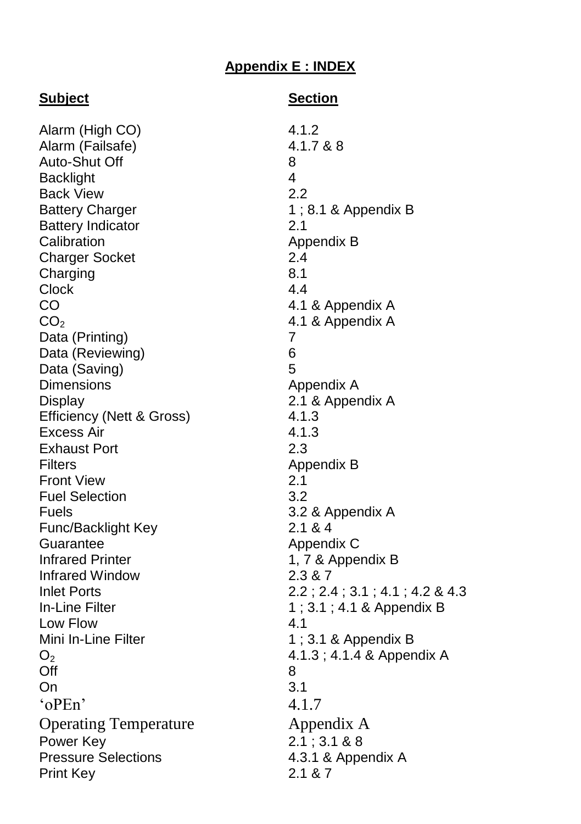#### **Appendix E : INDEX**

**Subject Section**

Alarm (High CO) 4.1.2<br>Alarm (Failsafe) 4.1.7.& 8 Alarm (Failsafe) Auto-Shut Off 8 Backlight 4 Back View 2.2 Battery Charger 1; 8.1 & Appendix B Battery Indicator 2.1 Calibration **Appendix B** Charger Socket 2.4 Charging 8.1 Clock 4.4 CO 4.1 & Appendix A  $CO<sub>2</sub>$  4.1 & Appendix A<br>Data (Printing)  $7$ Data (Printing) Data (Reviewing) 6 Data (Saving) 5 Dimensions **Appendix A** Display 2.1 & Appendix A Efficiency (Nett & Gross) 4.1.3 Excess Air 4.1.3 Exhaust Port 2.3 Filters **Appendix B** Front View 2.1 Fuel Selection 3.2 Fuels 3.2 & Appendix A Func/Backlight Key 2.1 & 4 Guarantee Appendix C Infrared Printer 1, 7 & Appendix B Infrared Window 2.3 & 7 Inlet Ports 2.2 ; 2.4 ; 3.1 ; 4.1 ; 4.2 & 4.3 In-Line Filter 1 ; 3.1 ; 4.1 & Appendix B Low Flow 4.1 Mini In-Line Filter 1 ; 3.1 & Appendix B  $O<sub>2</sub>$  4.1.3; 4.1.4 & Appendix A Off 8 On 3.1  $^{\circ}$  oPEn'  $4.1.7$ Operating Temperature **Appendix A** Power Key 2.1 ; 3.1 & 8 Pressure Selections 4.3.1 & Appendix A Print Key 2.1 & 7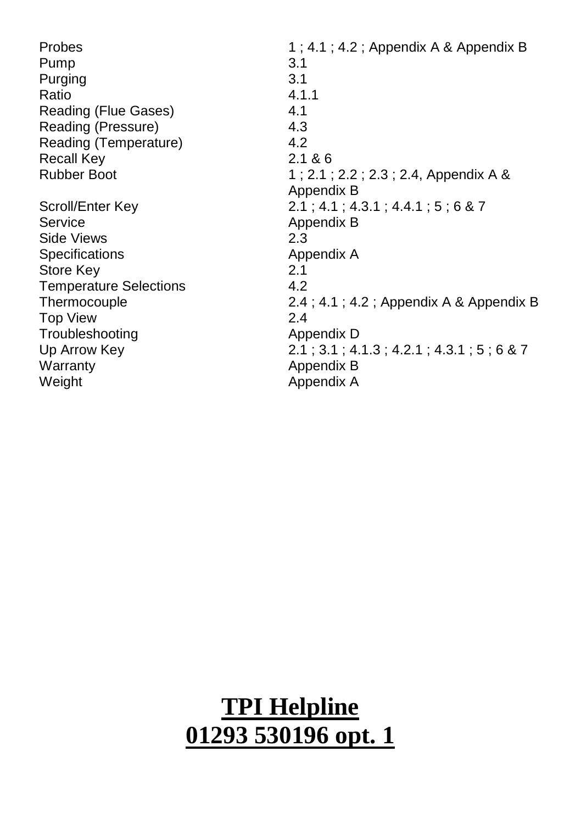| Probes                        | $1; 4.1; 4.2;$ Appendix A & Appendix B     |
|-------------------------------|--------------------------------------------|
| Pump                          | 3.1                                        |
| Purging                       | 3.1                                        |
| Ratio                         | 4.1.1                                      |
| Reading (Flue Gases)          | 4.1                                        |
| Reading (Pressure)            | 4.3                                        |
| Reading (Temperature)         | 4.2                                        |
| <b>Recall Key</b>             | 2.1 & 86                                   |
| <b>Rubber Boot</b>            | 1; 2.1; 2.2; 2.3; 2.4, Appendix A &        |
|                               | Appendix B                                 |
| Scroll/Enter Key              | $2.1$ ; 4.1; 4.3.1; 4.4.1; 5; 6 & 7        |
| Service                       | Appendix B                                 |
| Side Views                    | 2.3                                        |
| Specifications                | Appendix A                                 |
| Store Key                     | 2.1                                        |
| <b>Temperature Selections</b> | 4.2                                        |
| Thermocouple                  | 2.4; 4.1; 4.2; Appendix A & Appendix B     |
| <b>Top View</b>               | 2.4                                        |
| Troubleshooting               | Appendix D                                 |
| Up Arrow Key                  | $2.1$ ; 3.1; 4.1.3; 4.2.1; 4.3.1; 5; 6 & 7 |
| Warranty                      | Appendix B                                 |
| Weight                        | Appendix A                                 |
|                               |                                            |

# **TPI Helpline 01293 530196 opt. 1**